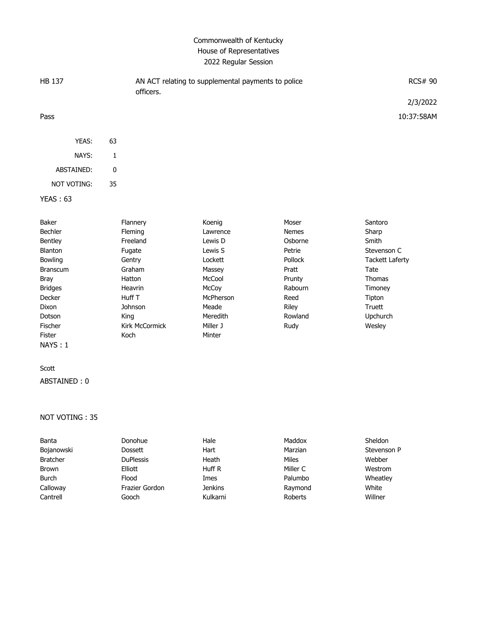# Commonwealth of Kentucky House of Representatives 2022 Regular Session

| HB 137          |           | AN ACT relating to supplemental payments to police<br>officers. | <b>RCS# 90</b> |
|-----------------|-----------|-----------------------------------------------------------------|----------------|
|                 |           |                                                                 | 2/3/2022       |
| Pass            |           |                                                                 | 10:37:58AM     |
| YEAS:           | 63        |                                                                 |                |
| NAYS:           | 1         |                                                                 |                |
| ABSTAINED:      | $\pmb{0}$ |                                                                 |                |
| NOT VOTING:     | 35        |                                                                 |                |
| <b>YEAS: 63</b> |           |                                                                 |                |

| Baker           | Flannery       | Koenig    | Moser          | Santoro                |
|-----------------|----------------|-----------|----------------|------------------------|
| Bechler         | <b>Fleming</b> | Lawrence  | <b>Nemes</b>   | Sharp                  |
| Bentley         | Freeland       | Lewis D   | Osborne        | Smith                  |
| <b>Blanton</b>  | Fugate         | Lewis S   | Petrie         | Stevenson C            |
| <b>Bowling</b>  | Gentry         | Lockett   | <b>Pollock</b> | <b>Tackett Laferty</b> |
| <b>Branscum</b> | Graham         | Massey    | Pratt          | Tate                   |
| Bray            | Hatton         | McCool    | Prunty         | <b>Thomas</b>          |
| <b>Bridges</b>  | Heavrin        | McCoy     | Rabourn        | Timoney                |
| <b>Decker</b>   | Huff T         | McPherson | Reed           | Tipton                 |
| Dixon           | Johnson        | Meade     | Riley          | Truett                 |
| Dotson          | King           | Meredith  | Rowland        | <b>Upchurch</b>        |
| Fischer         | Kirk McCormick | Miller J  | Rudy           | Wesley                 |
| Fister          | Koch           | Minter    |                |                        |
| NAYS: 1         |                |           |                |                        |
|                 |                |           |                |                        |

#### Scott

ABSTAINED : 0

#### NOT VOTING : 35

| Banta           | Donohue          | Hale           | Maddox   | Sheldon     |
|-----------------|------------------|----------------|----------|-------------|
| Bojanowski      | <b>Dossett</b>   | Hart           | Marzian  | Stevenson P |
| <b>Bratcher</b> | <b>DuPlessis</b> | Heath          | Miles    | Webber      |
| <b>Brown</b>    | Elliott          | Huff R         | Miller C | Westrom     |
| <b>Burch</b>    | Flood            | Imes           | Palumbo  | Wheatley    |
| Calloway        | Frazier Gordon   | <b>Jenkins</b> | Raymond  | White       |
| Cantrell        | Gooch            | Kulkarni       | Roberts  | Willner     |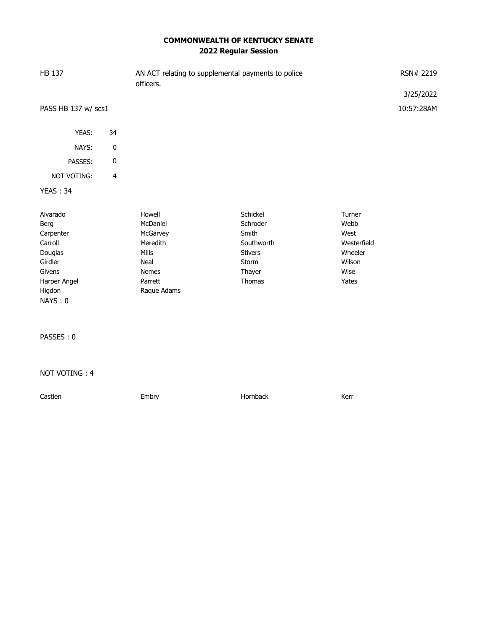# **COMMONWEALTH OF KENTUCKY SENATE 2022 Regular Session**

| <b>HB 137</b>                                                                                                 |                         | AN ACT relating to supplemental payments to police<br>officers.                                       |                                                                                            | RSN# 2219<br>3/25/2022                                                      |            |
|---------------------------------------------------------------------------------------------------------------|-------------------------|-------------------------------------------------------------------------------------------------------|--------------------------------------------------------------------------------------------|-----------------------------------------------------------------------------|------------|
| PASS HB 137 w/ scs1                                                                                           |                         |                                                                                                       |                                                                                            |                                                                             | 10:57:28AM |
| YEAS:                                                                                                         | 34                      |                                                                                                       |                                                                                            |                                                                             |            |
| NAYS:                                                                                                         | $\pmb{0}$               |                                                                                                       |                                                                                            |                                                                             |            |
| PASSES:                                                                                                       | 0                       |                                                                                                       |                                                                                            |                                                                             |            |
| NOT VOTING:                                                                                                   | $\overline{\mathbf{4}}$ |                                                                                                       |                                                                                            |                                                                             |            |
| <b>YEAS: 34</b>                                                                                               |                         |                                                                                                       |                                                                                            |                                                                             |            |
| Alvarado<br>Berg<br>Carpenter<br>Carroll<br>Douglas<br>Girdler<br>Givens<br>Harper Angel<br>Higdon<br>NAYS: 0 |                         | Howell<br>McDaniel<br>McGarvey<br>Meredith<br>Mills<br>Neal<br><b>Nemes</b><br>Parrett<br>Raque Adams | Schickel<br>Schroder<br>Smith<br>Southworth<br><b>Stivers</b><br>Storm<br>Thayer<br>Thomas | Turner<br>Webb<br>West<br>Westerfield<br>Wheeler<br>Wilson<br>Wise<br>Yates |            |
| PASSES: 0                                                                                                     |                         |                                                                                                       |                                                                                            |                                                                             |            |
| NOT VOTING: 4                                                                                                 |                         |                                                                                                       |                                                                                            |                                                                             |            |
| Castlen                                                                                                       |                         | Embry                                                                                                 | Hornback                                                                                   | Kerr                                                                        |            |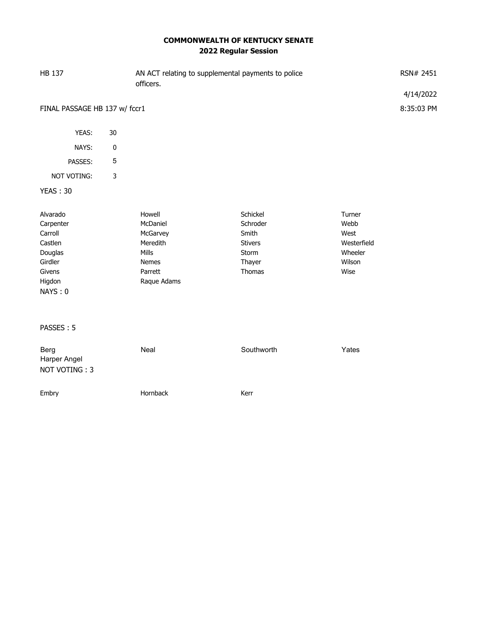# **COMMONWEALTH OF KENTUCKY SENATE 2022 Regular Session**

| <b>HB 137</b>                                                                                    |            | AN ACT relating to supplemental payments to police<br>officers.                        | RSN# 2451                                                                    |                                                                    |            |
|--------------------------------------------------------------------------------------------------|------------|----------------------------------------------------------------------------------------|------------------------------------------------------------------------------|--------------------------------------------------------------------|------------|
|                                                                                                  |            |                                                                                        |                                                                              |                                                                    | 4/14/2022  |
| FINAL PASSAGE HB 137 w/ fccr1                                                                    |            |                                                                                        |                                                                              |                                                                    | 8:35:03 PM |
| YEAS:                                                                                            | 30         |                                                                                        |                                                                              |                                                                    |            |
| NAYS:                                                                                            | $\pmb{0}$  |                                                                                        |                                                                              |                                                                    |            |
| PASSES:                                                                                          | $\sqrt{5}$ |                                                                                        |                                                                              |                                                                    |            |
| NOT VOTING:                                                                                      | 3          |                                                                                        |                                                                              |                                                                    |            |
| <b>YEAS: 30</b>                                                                                  |            |                                                                                        |                                                                              |                                                                    |            |
| Alvarado<br>Carpenter<br>Carroll<br>Castlen<br>Douglas<br>Girdler<br>Givens<br>Higdon<br>NAYS: 0 |            | Howell<br>McDaniel<br>McGarvey<br>Meredith<br>Mills<br>Nemes<br>Parrett<br>Raque Adams | Schickel<br>Schroder<br>Smith<br><b>Stivers</b><br>Storm<br>Thayer<br>Thomas | Turner<br>Webb<br>West<br>Westerfield<br>Wheeler<br>Wilson<br>Wise |            |
| PASSES: 5                                                                                        |            |                                                                                        |                                                                              |                                                                    |            |
| Berg<br>Harper Angel<br>NOT VOTING: 3                                                            |            | Neal                                                                                   | Southworth                                                                   | Yates                                                              |            |
| Embry                                                                                            |            | Hornback                                                                               | Kerr                                                                         |                                                                    |            |